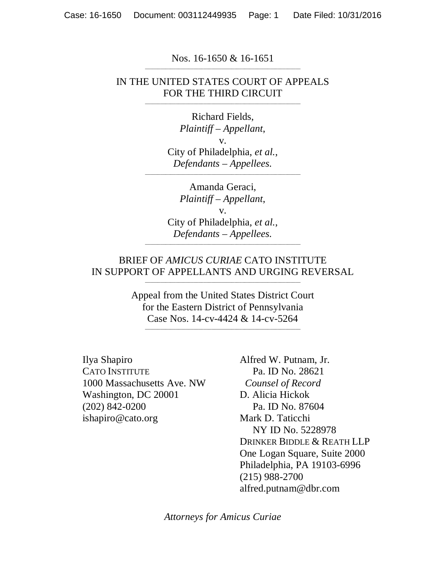Nos. 16-1650 & 16-1651 \_\_\_\_\_\_\_\_\_\_\_\_\_\_\_\_\_\_\_\_\_\_\_\_\_\_\_\_\_\_\_\_\_\_\_\_\_\_\_\_\_\_\_\_\_\_\_\_\_\_\_\_\_\_\_\_\_\_\_\_\_

#### IN THE UNITED STATES COURT OF APPEALS FOR THE THIRD CIRCUIT \_\_\_\_\_\_\_\_\_\_\_\_\_\_\_\_\_\_\_\_\_\_\_\_\_\_\_\_\_\_\_\_\_\_\_\_\_\_\_\_\_\_\_\_\_\_\_\_\_\_\_\_\_\_\_\_\_\_\_\_\_

Richard Fields, *Plaintiff – Appellant*, v. City of Philadelphia, *et al.*, *Defendants – Appellees.* 

\_\_\_\_\_\_\_\_\_\_\_\_\_\_\_\_\_\_\_\_\_\_\_\_\_\_\_\_\_\_\_\_\_\_\_\_\_\_\_\_\_\_\_\_\_\_\_\_\_\_\_\_\_\_\_\_\_\_\_\_\_

Amanda Geraci, *Plaintiff – Appellant*, v. City of Philadelphia, *et al.*, *Defendants – Appellees.* 

#### BRIEF OF *AMICUS CURIAE* CATO INSTITUTE IN SUPPORT OF APPELLANTS AND URGING REVERSAL \_\_\_\_\_\_\_\_\_\_\_\_\_\_\_\_\_\_\_\_\_\_\_\_\_\_\_\_\_\_\_\_\_\_\_\_\_\_\_\_\_\_\_\_\_\_\_\_\_\_\_\_\_\_\_\_\_\_\_\_\_

\_\_\_\_\_\_\_\_\_\_\_\_\_\_\_\_\_\_\_\_\_\_\_\_\_\_\_\_\_\_\_\_\_\_\_\_\_\_\_\_\_\_\_\_\_\_\_\_\_\_\_\_\_\_\_\_\_\_\_\_\_

Appeal from the United States District Court for the Eastern District of Pennsylvania Case Nos. 14-cv-4424 & 14-cv-5264

\_\_\_\_\_\_\_\_\_\_\_\_\_\_\_\_\_\_\_\_\_\_\_\_\_\_\_\_\_\_\_\_\_\_\_\_\_\_\_\_\_\_\_\_\_\_\_\_\_\_\_\_\_\_\_\_\_\_\_\_\_

Ilya Shapiro CATO INSTITUTE 1000 Massachusetts Ave. NW Washington, DC 20001 (202) 842-0200 ishapiro@cato.org

Alfred W. Putnam, Jr. Pa. ID No. 28621 *Counsel of Record*  D. Alicia Hickok Pa. ID No. 87604 Mark D. Taticchi NY ID No. 5228978 DRINKER BIDDLE & REATH LLP One Logan Square, Suite 2000 Philadelphia, PA 19103-6996 (215) 988-2700 alfred.putnam@dbr.com

*Attorneys for Amicus Curiae*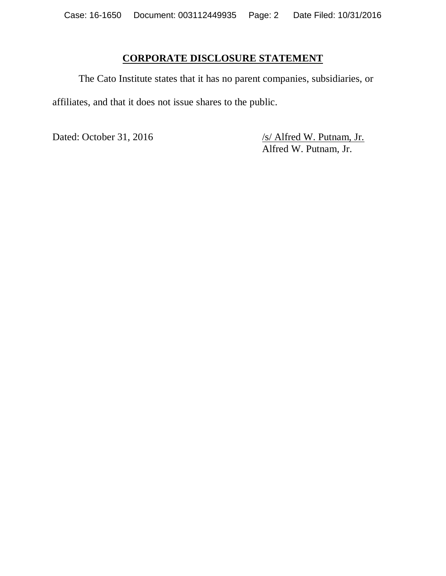## **CORPORATE DISCLOSURE STATEMENT**

The Cato Institute states that it has no parent companies, subsidiaries, or affiliates, and that it does not issue shares to the public.

Dated: October 31, 2016 /s/ Alfred W. Putnam, Jr. Alfred W. Putnam, Jr.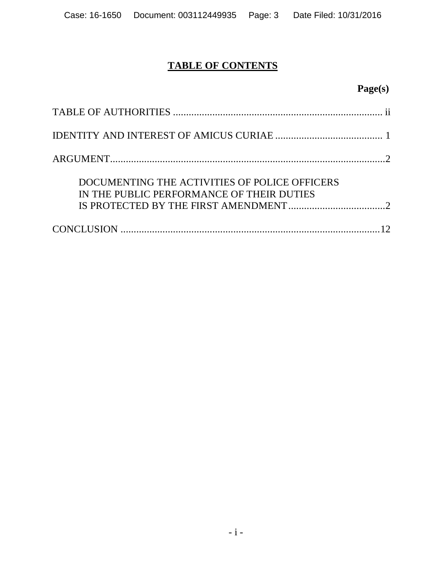# **TABLE OF CONTENTS**

# **Page(s)**

| DOCUMENTING THE ACTIVITIES OF POLICE OFFICERS<br>IN THE PUBLIC PERFORMANCE OF THEIR DUTIES |
|--------------------------------------------------------------------------------------------|
|                                                                                            |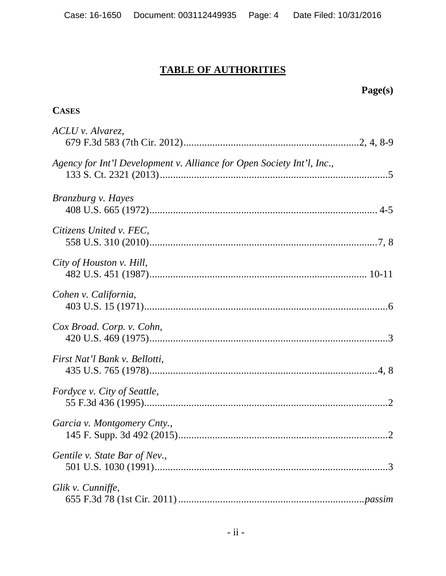# **TABLE OF AUTHORITIES**

# **Page(s)**

## **CASES**

| ACLU v. Alvarez,                                                       |
|------------------------------------------------------------------------|
| Agency for Int'l Development v. Alliance for Open Society Int'l, Inc., |
| Branzburg v. Hayes                                                     |
| Citizens United v. FEC,                                                |
| City of Houston v. Hill,                                               |
| Cohen v. California,                                                   |
| Cox Broad. Corp. v. Cohn,                                              |
| First Nat'l Bank v. Bellotti,                                          |
| Fordyce v. City of Seattle,                                            |
| Garcia v. Montgomery Cnty.,                                            |
| Gentile v. State Bar of Nev.,                                          |
| Glik v. Cunniffe,                                                      |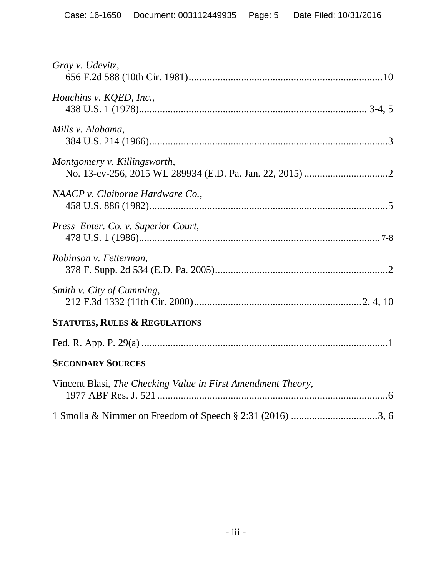| Gray v. Udevitz,                                             |
|--------------------------------------------------------------|
| Houchins v. KQED, Inc.,                                      |
| Mills v. Alabama,                                            |
| Montgomery v. Killingsworth,                                 |
| NAACP v. Claiborne Hardware Co.,                             |
| Press-Enter. Co. v. Superior Court,                          |
| Robinson v. Fetterman,                                       |
| Smith v. City of Cumming,                                    |
| <b>STATUTES, RULES &amp; REGULATIONS</b>                     |
|                                                              |
| <b>SECONDARY SOURCES</b>                                     |
| Vincent Blasi, The Checking Value in First Amendment Theory, |
|                                                              |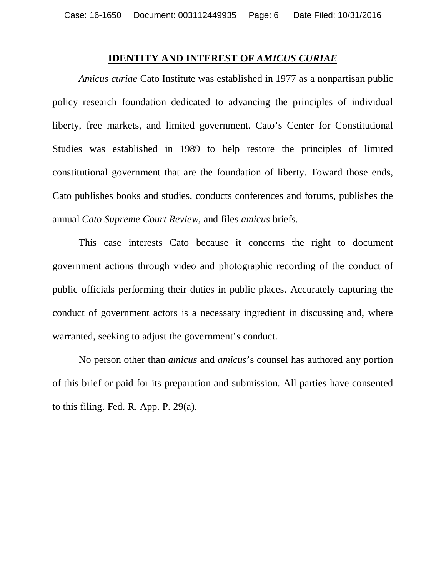#### **IDENTITY AND INTEREST OF** *AMICUS CURIAE*

*Amicus curiae* Cato Institute was established in 1977 as a nonpartisan public policy research foundation dedicated to advancing the principles of individual liberty, free markets, and limited government. Cato's Center for Constitutional Studies was established in 1989 to help restore the principles of limited constitutional government that are the foundation of liberty. Toward those ends, Cato publishes books and studies, conducts conferences and forums, publishes the annual *Cato Supreme Court Review*, and files *amicus* briefs.

This case interests Cato because it concerns the right to document government actions through video and photographic recording of the conduct of public officials performing their duties in public places. Accurately capturing the conduct of government actors is a necessary ingredient in discussing and, where warranted, seeking to adjust the government's conduct.

No person other than *amicus* and *amicus*'s counsel has authored any portion of this brief or paid for its preparation and submission. All parties have consented to this filing. Fed. R. App. P. 29(a).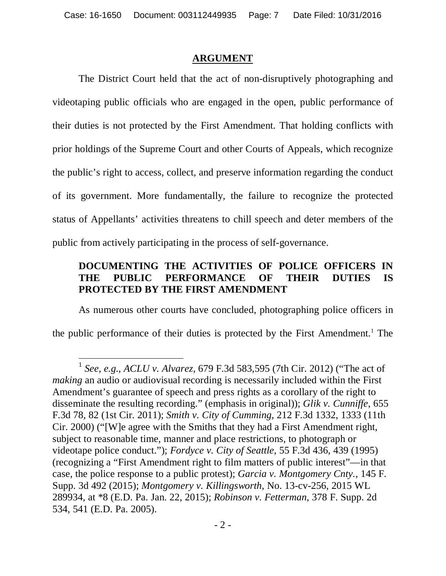### **ARGUMENT**

The District Court held that the act of non-disruptively photographing and videotaping public officials who are engaged in the open, public performance of their duties is not protected by the First Amendment. That holding conflicts with prior holdings of the Supreme Court and other Courts of Appeals, which recognize the public's right to access, collect, and preserve information regarding the conduct of its government. More fundamentally, the failure to recognize the protected status of Appellants' activities threatens to chill speech and deter members of the public from actively participating in the process of self-governance.

## **DOCUMENTING THE ACTIVITIES OF POLICE OFFICERS IN THE PUBLIC PERFORMANCE OF THEIR DUTIES IS PROTECTED BY THE FIRST AMENDMENT**

As numerous other courts have concluded, photographing police officers in the public performance of their duties is protected by the First Amendment.<sup>1</sup> The

<sup>1</sup> *See*, *e.g.*, *ACLU v. Alvarez*, 679 F.3d 583,595 (7th Cir. 2012) ("The act of *making* an audio or audiovisual recording is necessarily included within the First Amendment's guarantee of speech and press rights as a corollary of the right to disseminate the resulting recording." (emphasis in original)); *Glik v. Cunniffe*, 655 F.3d 78, 82 (1st Cir. 2011); *Smith v. City of Cumming*, 212 F.3d 1332, 1333 (11th Cir. 2000) ("[W]e agree with the Smiths that they had a First Amendment right, subject to reasonable time, manner and place restrictions, to photograph or videotape police conduct."); *Fordyce v. City of Seattle*, 55 F.3d 436, 439 (1995) (recognizing a "First Amendment right to film matters of public interest"—in that case, the police response to a public protest); *Garcia v. Montgomery Cnty.*, 145 F. Supp. 3d 492 (2015); *Montgomery v. Killingsworth*, No. 13-cv-256, 2015 WL 289934, at \*8 (E.D. Pa. Jan. 22, 2015); *Robinson v. Fetterman*, 378 F. Supp. 2d 534, 541 (E.D. Pa. 2005).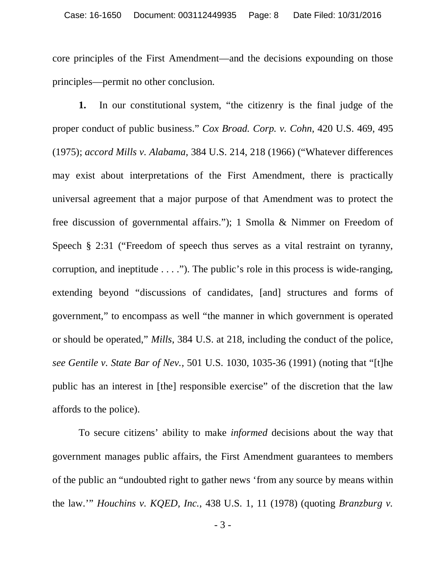core principles of the First Amendment—and the decisions expounding on those principles—permit no other conclusion.

**1.** In our constitutional system, "the citizenry is the final judge of the proper conduct of public business." *Cox Broad. Corp. v. Cohn*, 420 U.S. 469, 495 (1975); *accord Mills v. Alabama*, 384 U.S. 214, 218 (1966) ("Whatever differences may exist about interpretations of the First Amendment, there is practically universal agreement that a major purpose of that Amendment was to protect the free discussion of governmental affairs."); 1 Smolla & Nimmer on Freedom of Speech § 2:31 ("Freedom of speech thus serves as a vital restraint on tyranny, corruption, and ineptitude . . . ."). The public's role in this process is wide-ranging, extending beyond "discussions of candidates, [and] structures and forms of government," to encompass as well "the manner in which government is operated or should be operated," *Mills*, 384 U.S. at 218, including the conduct of the police, *see Gentile v. State Bar of Nev.,* 501 U.S. 1030, 1035-36 (1991) (noting that "[t]he public has an interest in [the] responsible exercise" of the discretion that the law affords to the police).

To secure citizens' ability to make *informed* decisions about the way that government manages public affairs, the First Amendment guarantees to members of the public an "undoubted right to gather news 'from any source by means within the law.'" *Houchins v. KQED, Inc.*, 438 U.S. 1, 11 (1978) (quoting *Branzburg v.*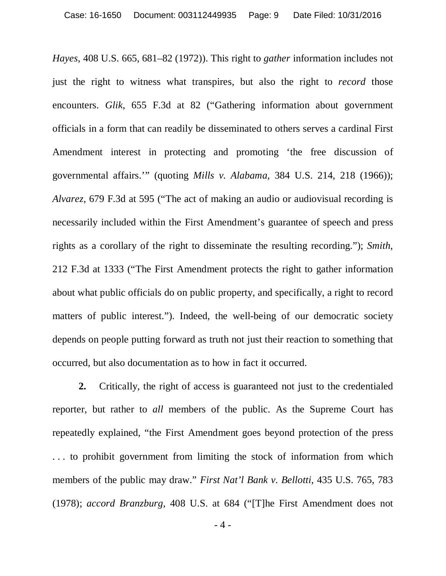*Hayes*, 408 U.S. 665, 681–82 (1972)). This right to *gather* information includes not just the right to witness what transpires, but also the right to *record* those encounters. *Glik*, 655 F.3d at 82 ("Gathering information about government officials in a form that can readily be disseminated to others serves a cardinal First Amendment interest in protecting and promoting 'the free discussion of governmental affairs.'" (quoting *Mills v. Alabama*, 384 U.S. 214, 218 (1966)); *Alvarez*, 679 F.3d at 595 ("The act of making an audio or audiovisual recording is necessarily included within the First Amendment's guarantee of speech and press rights as a corollary of the right to disseminate the resulting recording."); *Smith*, 212 F.3d at 1333 ("The First Amendment protects the right to gather information about what public officials do on public property, and specifically, a right to record matters of public interest."). Indeed, the well-being of our democratic society depends on people putting forward as truth not just their reaction to something that occurred, but also documentation as to how in fact it occurred.

**2.** Critically, the right of access is guaranteed not just to the credentialed reporter, but rather to *all* members of the public. As the Supreme Court has repeatedly explained, "the First Amendment goes beyond protection of the press . . . to prohibit government from limiting the stock of information from which members of the public may draw." *First Nat'l Bank v. Bellotti*, 435 U.S. 765, 783 (1978); *accord Branzburg,* 408 U.S. at 684 ("[T]he First Amendment does not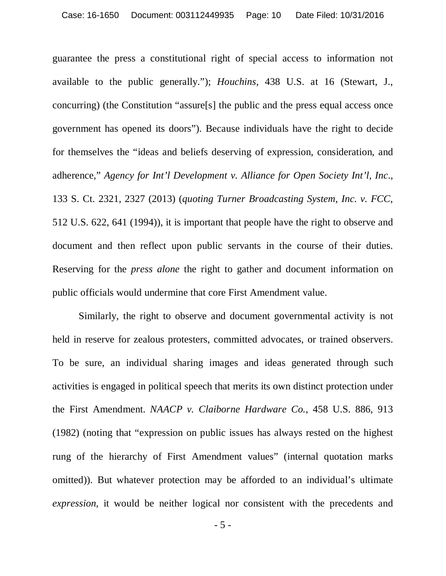guarantee the press a constitutional right of special access to information not available to the public generally."); *Houchins,* 438 U.S. at 16 (Stewart, J., concurring) (the Constitution "assure[s] the public and the press equal access once government has opened its doors"). Because individuals have the right to decide for themselves the "ideas and beliefs deserving of expression, consideration, and adherence," *Agency for Int'l Development v. Alliance for Open Society Int'l, Inc*., 133 S. Ct. 2321, 2327 (2013) (*quoting Turner Broadcasting System, Inc. v. FCC*, 512 U.S. 622, 641 (1994)), it is important that people have the right to observe and document and then reflect upon public servants in the course of their duties. Reserving for the *press alone* the right to gather and document information on public officials would undermine that core First Amendment value.

Similarly, the right to observe and document governmental activity is not held in reserve for zealous protesters, committed advocates, or trained observers. To be sure, an individual sharing images and ideas generated through such activities is engaged in political speech that merits its own distinct protection under the First Amendment. *NAACP v. Claiborne Hardware Co.*, 458 U.S. 886, 913 (1982) (noting that "expression on public issues has always rested on the highest rung of the hierarchy of First Amendment values" (internal quotation marks omitted)). But whatever protection may be afforded to an individual's ultimate *expression*, it would be neither logical nor consistent with the precedents and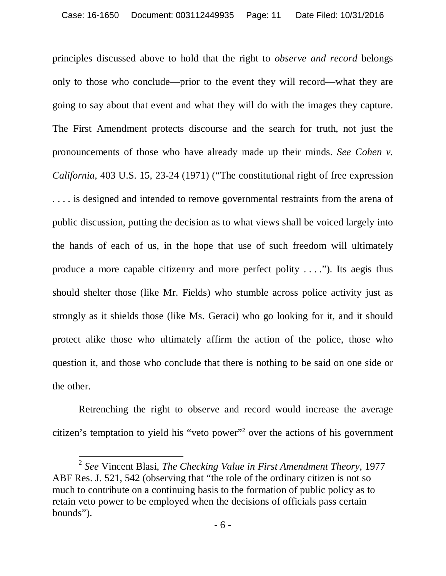principles discussed above to hold that the right to *observe and record* belongs only to those who conclude—prior to the event they will record—what they are going to say about that event and what they will do with the images they capture. The First Amendment protects discourse and the search for truth, not just the pronouncements of those who have already made up their minds. *See Cohen v. California*, 403 U.S. 15, 23-24 (1971) ("The constitutional right of free expression . . . . is designed and intended to remove governmental restraints from the arena of public discussion, putting the decision as to what views shall be voiced largely into the hands of each of us, in the hope that use of such freedom will ultimately produce a more capable citizenry and more perfect polity  $\dots$ ."). Its aegis thus should shelter those (like Mr. Fields) who stumble across police activity just as strongly as it shields those (like Ms. Geraci) who go looking for it, and it should protect alike those who ultimately affirm the action of the police, those who question it, and those who conclude that there is nothing to be said on one side or the other.

Retrenching the right to observe and record would increase the average citizen's temptation to yield his "veto power"<sup>2</sup> over the actions of his government

<sup>2</sup> *See* Vincent Blasi, *The Checking Value in First Amendment Theory*, 1977 ABF Res. J. 521, 542 (observing that "the role of the ordinary citizen is not so much to contribute on a continuing basis to the formation of public policy as to retain veto power to be employed when the decisions of officials pass certain bounds").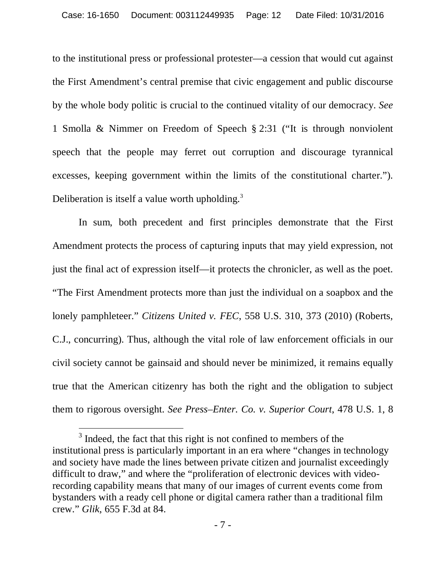to the institutional press or professional protester—a cession that would cut against the First Amendment's central premise that civic engagement and public discourse by the whole body politic is crucial to the continued vitality of our democracy. *See* 1 Smolla & Nimmer on Freedom of Speech § 2:31 ("It is through nonviolent speech that the people may ferret out corruption and discourage tyrannical excesses, keeping government within the limits of the constitutional charter."). Deliberation is itself a value worth upholding.<sup>3</sup>

In sum, both precedent and first principles demonstrate that the First Amendment protects the process of capturing inputs that may yield expression, not just the final act of expression itself—it protects the chronicler, as well as the poet. "The First Amendment protects more than just the individual on a soapbox and the lonely pamphleteer." *Citizens United v. FEC*, 558 U.S. 310, 373 (2010) (Roberts, C.J., concurring). Thus, although the vital role of law enforcement officials in our civil society cannot be gainsaid and should never be minimized, it remains equally true that the American citizenry has both the right and the obligation to subject them to rigorous oversight. *See Press–Enter. Co. v. Superior Court*, 478 U.S. 1, 8

 $3$  Indeed, the fact that this right is not confined to members of the institutional press is particularly important in an era where "changes in technology and society have made the lines between private citizen and journalist exceedingly difficult to draw," and where the "proliferation of electronic devices with videorecording capability means that many of our images of current events come from bystanders with a ready cell phone or digital camera rather than a traditional film crew." *Glik*, 655 F.3d at 84.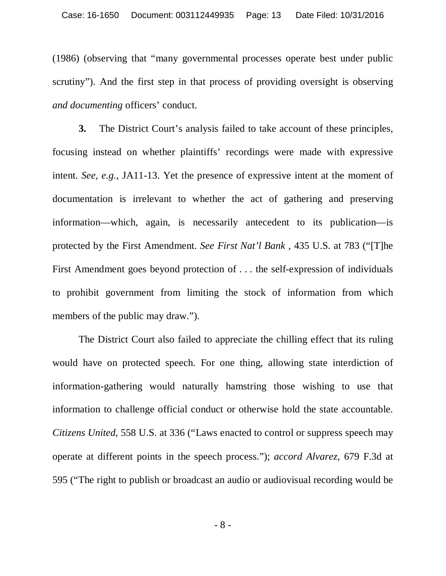(1986) (observing that "many governmental processes operate best under public scrutiny"). And the first step in that process of providing oversight is observing *and documenting* officers' conduct.

**3.** The District Court's analysis failed to take account of these principles, focusing instead on whether plaintiffs' recordings were made with expressive intent. *See, e.g.*, JA11-13. Yet the presence of expressive intent at the moment of documentation is irrelevant to whether the act of gathering and preserving information—which, again, is necessarily antecedent to its publication—is protected by the First Amendment. *See First Nat'l Bank* , 435 U.S. at 783 ("[T]he First Amendment goes beyond protection of . . . the self-expression of individuals to prohibit government from limiting the stock of information from which members of the public may draw.").

The District Court also failed to appreciate the chilling effect that its ruling would have on protected speech. For one thing, allowing state interdiction of information-gathering would naturally hamstring those wishing to use that information to challenge official conduct or otherwise hold the state accountable. *Citizens United*, 558 U.S. at 336 ("Laws enacted to control or suppress speech may operate at different points in the speech process."); *accord Alvarez*, 679 F.3d at 595 ("The right to publish or broadcast an audio or audiovisual recording would be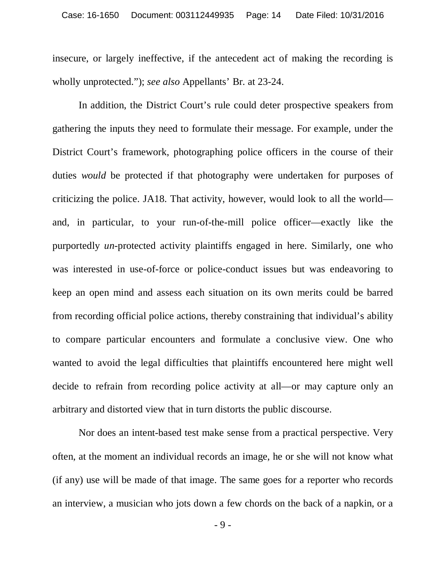insecure, or largely ineffective, if the antecedent act of making the recording is wholly unprotected."); *see also* Appellants' Br. at 23-24.

In addition, the District Court's rule could deter prospective speakers from gathering the inputs they need to formulate their message. For example, under the District Court's framework, photographing police officers in the course of their duties *would* be protected if that photography were undertaken for purposes of criticizing the police. JA18. That activity, however, would look to all the world and, in particular, to your run-of-the-mill police officer—exactly like the purportedly *un*-protected activity plaintiffs engaged in here. Similarly, one who was interested in use-of-force or police-conduct issues but was endeavoring to keep an open mind and assess each situation on its own merits could be barred from recording official police actions, thereby constraining that individual's ability to compare particular encounters and formulate a conclusive view. One who wanted to avoid the legal difficulties that plaintiffs encountered here might well decide to refrain from recording police activity at all—or may capture only an arbitrary and distorted view that in turn distorts the public discourse.

Nor does an intent-based test make sense from a practical perspective. Very often, at the moment an individual records an image, he or she will not know what (if any) use will be made of that image. The same goes for a reporter who records an interview, a musician who jots down a few chords on the back of a napkin, or a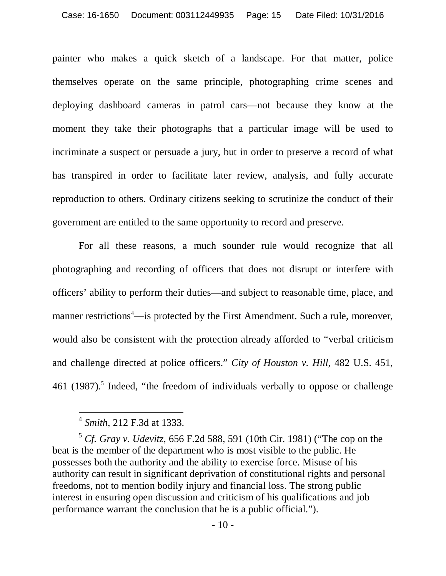painter who makes a quick sketch of a landscape. For that matter, police themselves operate on the same principle, photographing crime scenes and deploying dashboard cameras in patrol cars—not because they know at the moment they take their photographs that a particular image will be used to incriminate a suspect or persuade a jury, but in order to preserve a record of what has transpired in order to facilitate later review, analysis, and fully accurate reproduction to others. Ordinary citizens seeking to scrutinize the conduct of their government are entitled to the same opportunity to record and preserve.

For all these reasons, a much sounder rule would recognize that all photographing and recording of officers that does not disrupt or interfere with officers' ability to perform their duties—and subject to reasonable time, place, and manner restrictions<sup>4</sup>—is protected by the First Amendment. Such a rule, moreover, would also be consistent with the protection already afforded to "verbal criticism and challenge directed at police officers." *City of Houston v. Hill*, 482 U.S. 451, 461 (1987).<sup>5</sup> Indeed, "the freedom of individuals verbally to oppose or challenge

<sup>4</sup> *Smith*, 212 F.3d at 1333.

<sup>5</sup> *Cf. Gray v. Udevitz*, 656 F.2d 588, 591 (10th Cir. 1981) ("The cop on the beat is the member of the department who is most visible to the public. He possesses both the authority and the ability to exercise force. Misuse of his authority can result in significant deprivation of constitutional rights and personal freedoms, not to mention bodily injury and financial loss. The strong public interest in ensuring open discussion and criticism of his qualifications and job performance warrant the conclusion that he is a public official.").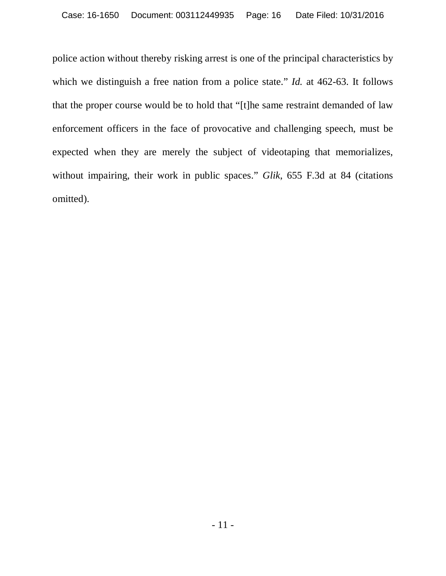police action without thereby risking arrest is one of the principal characteristics by which we distinguish a free nation from a police state." *Id.* at 462-63. It follows that the proper course would be to hold that "[t]he same restraint demanded of law enforcement officers in the face of provocative and challenging speech, must be expected when they are merely the subject of videotaping that memorializes, without impairing, their work in public spaces." *Glik*, 655 F.3d at 84 (citations omitted).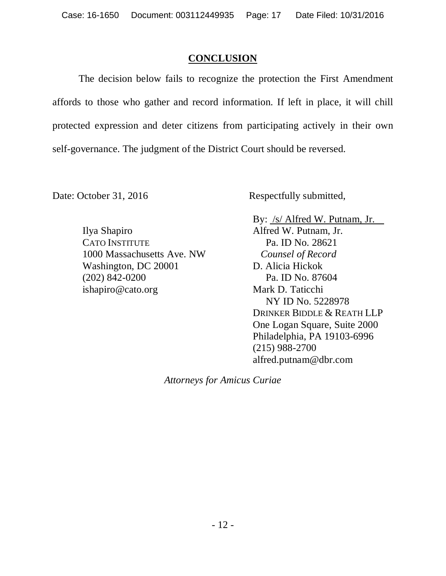## **CONCLUSION**

The decision below fails to recognize the protection the First Amendment affords to those who gather and record information. If left in place, it will chill protected expression and deter citizens from participating actively in their own self-governance. The judgment of the District Court should be reversed.

Date: October 31, 2016 Respectfully submitted,

Ilya Shapiro CATO INSTITUTE 1000 Massachusetts Ave. NW Washington, DC 20001 (202) 842-0200 ishapiro@cato.org

By: /s/ Alfred W. Putnam, Jr. Alfred W. Putnam, Jr. Pa. ID No. 28621 *Counsel of Record*  D. Alicia Hickok Pa. ID No. 87604 Mark D. Taticchi NY ID No. 5228978 DRINKER BIDDLE & REATH LLP One Logan Square, Suite 2000 Philadelphia, PA 19103-6996 (215) 988-2700 alfred.putnam@dbr.com

*Attorneys for Amicus Curiae*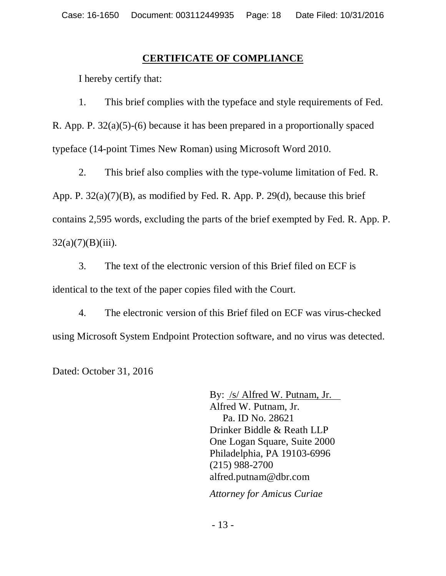## **CERTIFICATE OF COMPLIANCE**

I hereby certify that:

1. This brief complies with the typeface and style requirements of Fed.

R. App. P. 32(a)(5)-(6) because it has been prepared in a proportionally spaced typeface (14-point Times New Roman) using Microsoft Word 2010.

2. This brief also complies with the type-volume limitation of Fed. R. App. P. 32(a)(7)(B), as modified by Fed. R. App. P. 29(d), because this brief contains 2,595 words, excluding the parts of the brief exempted by Fed. R. App. P.  $32(a)(7)(B)(iii)$ .

3. The text of the electronic version of this Brief filed on ECF is identical to the text of the paper copies filed with the Court.

4. The electronic version of this Brief filed on ECF was virus-checked using Microsoft System Endpoint Protection software, and no virus was detected.

Dated: October 31, 2016

By: <u>/s/ Alfred W. P</u>utnam, Jr. Alfred W. Putnam, Jr. Pa. ID No. 28621 Drinker Biddle & Reath LLP One Logan Square, Suite 2000 Philadelphia, PA 19103-6996 (215) 988-2700 alfred.putnam@dbr.com

 *Attorney for Amicus Curiae*

- 13 -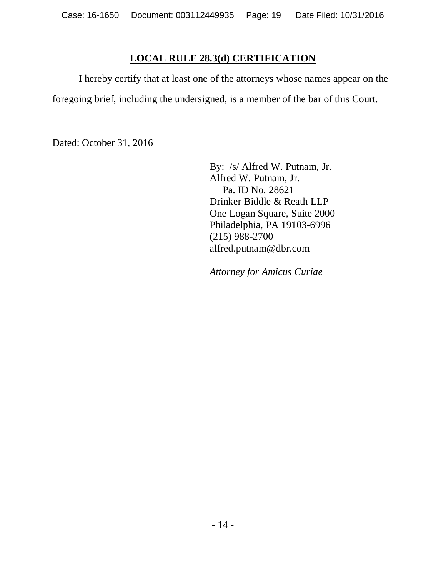## **LOCAL RULE 28.3(d) CERTIFICATION**

I hereby certify that at least one of the attorneys whose names appear on the foregoing brief, including the undersigned, is a member of the bar of this Court.

Dated: October 31, 2016

By: /s/ Alfred W. Putnam, Jr. Alfred W. Putnam, Jr. Pa. ID No. 28621 Drinker Biddle & Reath LLP One Logan Square, Suite 2000 Philadelphia, PA 19103-6996 (215) 988-2700 alfred.putnam@dbr.com

*Attorney for Amicus Curiae*